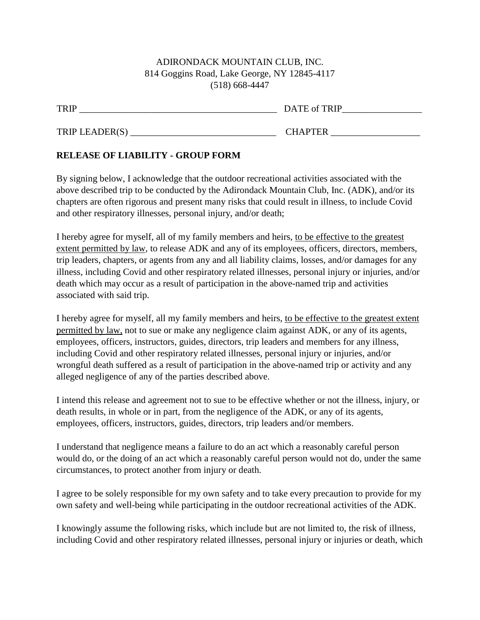## ADIRONDACK MOUNTAIN CLUB, INC. 814 Goggins Road, Lake George, NY 12845-4117 (518) 668-4447

TRIP \_\_\_\_\_\_\_\_\_\_\_\_\_\_\_\_\_\_\_\_\_\_\_\_\_\_\_\_\_\_\_\_\_\_\_\_\_\_\_\_\_\_ DATE of TRIP\_\_\_\_\_\_\_\_\_\_\_\_\_\_\_\_\_

| TRIP LEADER(S) | CHAPTER |
|----------------|---------|
|----------------|---------|

## **RELEASE OF LIABILITY - GROUP FORM**

By signing below, I acknowledge that the outdoor recreational activities associated with the above described trip to be conducted by the Adirondack Mountain Club, Inc. (ADK), and/or its chapters are often rigorous and present many risks that could result in illness, to include Covid and other respiratory illnesses, personal injury, and/or death;

I hereby agree for myself, all of my family members and heirs, to be effective to the greatest extent permitted by law, to release ADK and any of its employees, officers, directors, members, trip leaders, chapters, or agents from any and all liability claims, losses, and/or damages for any illness, including Covid and other respiratory related illnesses, personal injury or injuries, and/or death which may occur as a result of participation in the above-named trip and activities associated with said trip.

I hereby agree for myself, all my family members and heirs, to be effective to the greatest extent permitted by law, not to sue or make any negligence claim against ADK, or any of its agents, employees, officers, instructors, guides, directors, trip leaders and members for any illness, including Covid and other respiratory related illnesses, personal injury or injuries, and/or wrongful death suffered as a result of participation in the above-named trip or activity and any alleged negligence of any of the parties described above.

I intend this release and agreement not to sue to be effective whether or not the illness, injury, or death results, in whole or in part, from the negligence of the ADK, or any of its agents, employees, officers, instructors, guides, directors, trip leaders and/or members.

I understand that negligence means a failure to do an act which a reasonably careful person would do, or the doing of an act which a reasonably careful person would not do, under the same circumstances, to protect another from injury or death.

I agree to be solely responsible for my own safety and to take every precaution to provide for my own safety and well-being while participating in the outdoor recreational activities of the ADK.

I knowingly assume the following risks, which include but are not limited to, the risk of illness, including Covid and other respiratory related illnesses, personal injury or injuries or death, which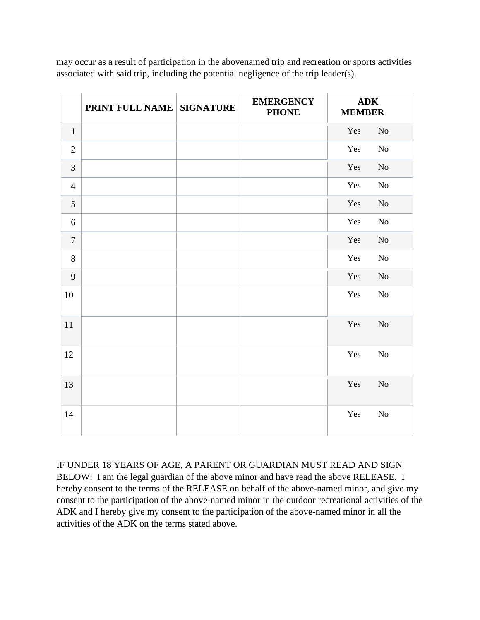may occur as a result of participation in the abovenamed trip and recreation or sports activities associated with said trip, including the potential negligence of the trip leader(s).

|                | <b>PRINT FULL NAME SIGNATURE</b> | <b>EMERGENCY</b><br><b>PHONE</b> | ${\bf A}{\bf D}{\bf K}$<br><b>MEMBER</b> |                |
|----------------|----------------------------------|----------------------------------|------------------------------------------|----------------|
| $\mathbf{1}$   |                                  |                                  | Yes                                      | N <sub>o</sub> |
| $\overline{2}$ |                                  |                                  | Yes                                      | N <sub>o</sub> |
| 3              |                                  |                                  | Yes                                      | N <sub>o</sub> |
| $\overline{4}$ |                                  |                                  | Yes                                      | No             |
| 5              |                                  |                                  | Yes                                      | N <sub>o</sub> |
| 6              |                                  |                                  | Yes                                      | N <sub>o</sub> |
| $\overline{7}$ |                                  |                                  | Yes                                      | $\rm No$       |
| 8              |                                  |                                  | Yes                                      | No             |
| 9              |                                  |                                  | Yes                                      | N <sub>o</sub> |
| 10             |                                  |                                  | Yes                                      | N <sub>o</sub> |
| 11             |                                  |                                  | Yes                                      | N <sub>o</sub> |
| 12             |                                  |                                  | Yes                                      | N <sub>o</sub> |
| 13             |                                  |                                  | Yes                                      | N <sub>o</sub> |
| 14             |                                  |                                  | Yes                                      | N <sub>o</sub> |

IF UNDER 18 YEARS OF AGE, A PARENT OR GUARDIAN MUST READ AND SIGN BELOW: I am the legal guardian of the above minor and have read the above RELEASE. I hereby consent to the terms of the RELEASE on behalf of the above-named minor, and give my consent to the participation of the above-named minor in the outdoor recreational activities of the ADK and I hereby give my consent to the participation of the above-named minor in all the activities of the ADK on the terms stated above.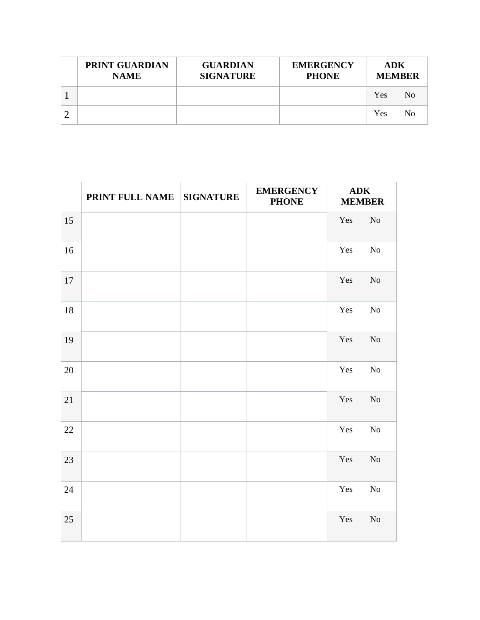| <b>PRINT GUARDIAN</b><br><b>NAME</b> | <b>GUARDIAN</b><br><b>SIGNATURE</b> | <b>EMERGENCY</b><br><b>PHONE</b> | ADK<br><b>MEMBER</b> |     |
|--------------------------------------|-------------------------------------|----------------------------------|----------------------|-----|
|                                      |                                     |                                  | Yes                  | No. |
|                                      |                                     |                                  | Yes                  | No  |

|    | PRINT FULL NAME | <b>SIGNATURE</b> | <b>EMERGENCY</b><br><b>PHONE</b> | <b>ADK</b><br><b>MEMBER</b> |            |
|----|-----------------|------------------|----------------------------------|-----------------------------|------------|
| 15 |                 |                  |                                  | Yes                         | $\rm No$   |
| 16 |                 |                  |                                  | Yes                         | $\rm No$   |
| 17 |                 |                  |                                  | Yes                         | $\rm No$   |
| 18 |                 |                  |                                  | Yes                         | $\rm No$   |
| 19 |                 |                  |                                  | Yes                         | $\rm No$   |
| 20 |                 |                  |                                  | Yes                         | ${\rm No}$ |
| 21 |                 |                  |                                  | Yes                         | $\rm No$   |
| 22 |                 |                  |                                  | Yes                         | No         |
| 23 |                 |                  |                                  | Yes                         | $\rm No$   |
| 24 |                 |                  |                                  | Yes                         | $\rm No$   |
| 25 |                 |                  |                                  | Yes                         | No         |